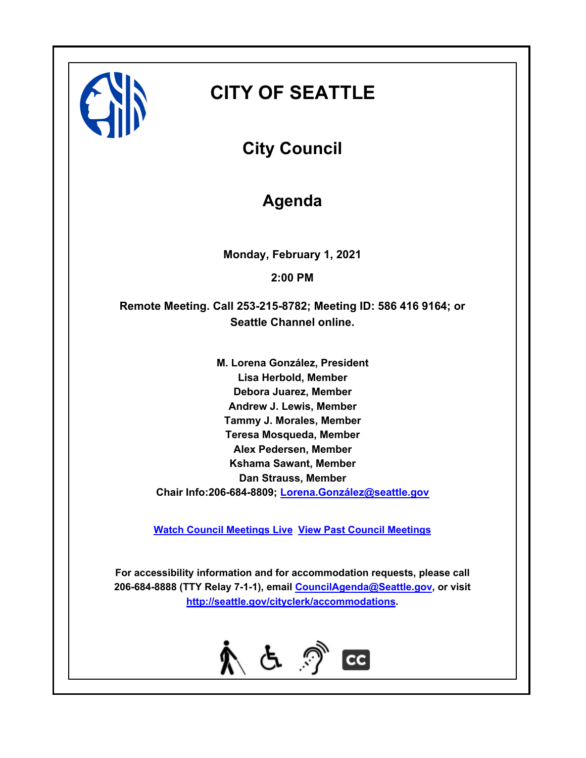

# **CITY OF SEATTLE**

**City Council**

# **Agenda**

**Monday, February 1, 2021**

**2:00 PM**

**Remote Meeting. Call 253-215-8782; Meeting ID: 586 416 9164; or Seattle Channel online.**

> **M. Lorena González, President Lisa Herbold, Member Debora Juarez, Member Andrew J. Lewis, Member Tammy J. Morales, Member Teresa Mosqueda, Member Alex Pedersen, Member Kshama Sawant, Member Dan Strauss, Member Chair Info:206-684-8809; [Lorena.González@seattle.gov](mailto: Lorena.Gonzalez@seattle.gov)**

**[Watch Council Meetings Live](http://www.seattle.gov/council/councillive.htm) [View Past Council Meetings](http://www.seattlechannel.org/videos/browseVideos.asp?topic=council)**

**For accessibility information and for accommodation requests, please call 206-684-8888 (TTY Relay 7-1-1), email [CouncilAgenda@Seattle.gov](mailto: Council.Agenda@Seattle.gov), or visit <http://seattle.gov/cityclerk/accommodations>.**

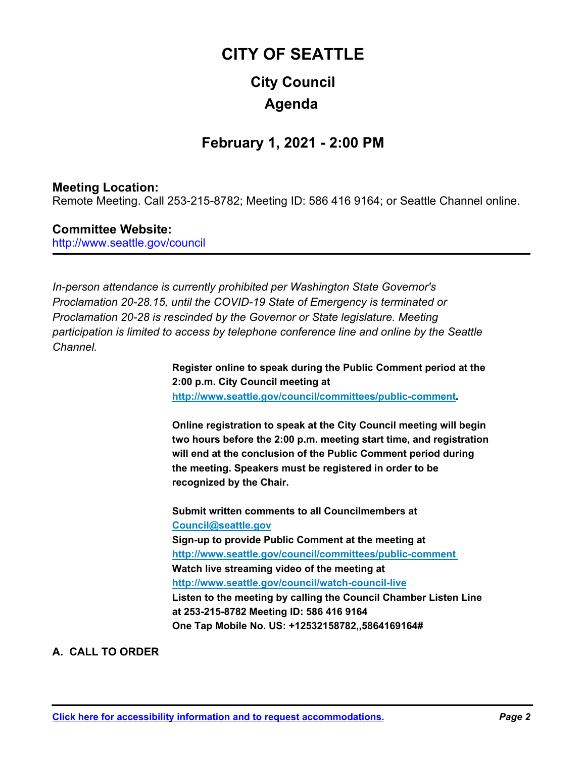# **City Council CITY OF SEATTLE Agenda**

# **February 1, 2021 - 2:00 PM**

# **Meeting Location:**

Remote Meeting. Call 253-215-8782; Meeting ID: 586 416 9164; or Seattle Channel online.

# **Committee Website:**

http://www.seattle.gov/council

*In-person attendance is currently prohibited per Washington State Governor's Proclamation 20-28.15, until the COVID-19 State of Emergency is terminated or Proclamation 20-28 is rescinded by the Governor or State legislature. Meeting participation is limited to access by telephone conference line and online by the Seattle Channel.*

> **Register online to speak during the Public Comment period at the 2:00 p.m. City Council meeting at http://www.seattle.gov/council/committees/public-comment.**

**Online registration to speak at the City Council meeting will begin two hours before the 2:00 p.m. meeting start time, and registration will end at the conclusion of the Public Comment period during the meeting. Speakers must be registered in order to be recognized by the Chair.**

**Submit written comments to all Councilmembers at Council@seattle.gov Sign-up to provide Public Comment at the meeting at http://www.seattle.gov/council/committees/public-comment Watch live streaming video of the meeting at http://www.seattle.gov/council/watch-council-live Listen to the meeting by calling the Council Chamber Listen Line at 253-215-8782 Meeting ID: 586 416 9164 One Tap Mobile No. US: +12532158782,,5864169164#**

# **A. CALL TO ORDER**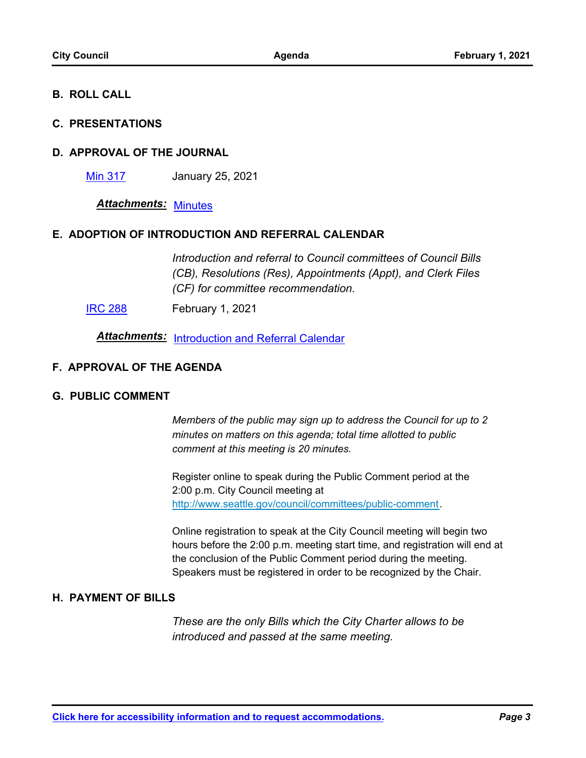## **B. ROLL CALL**

#### **C. PRESENTATIONS**

#### **D. APPROVAL OF THE JOURNAL**

[Min 317](http://seattle.legistar.com/gateway.aspx?m=l&id=/matter.aspx?key=11347) January 25, 2021

*Attachments:* [Minutes](http://seattle.legistar.com/gateway.aspx?M=F&ID=c1856cac-b849-459c-a783-a4b699940814.pdf)

#### **E. ADOPTION OF INTRODUCTION AND REFERRAL CALENDAR**

*Introduction and referral to Council committees of Council Bills (CB), Resolutions (Res), Appointments (Appt), and Clerk Files (CF) for committee recommendation.*

**[IRC 288](http://seattle.legistar.com/gateway.aspx?m=l&id=/matter.aspx?key=11348)** February 1, 2021

**Attachments:** [Introduction and Referral Calendar](http://seattle.legistar.com/gateway.aspx?M=F&ID=b736a853-3f93-467c-a4d4-8a516470210d.pdf)

#### **F. APPROVAL OF THE AGENDA**

#### **G. PUBLIC COMMENT**

*Members of the public may sign up to address the Council for up to 2 minutes on matters on this agenda; total time allotted to public comment at this meeting is 20 minutes.*

Register online to speak during the Public Comment period at the 2:00 p.m. City Council meeting at http://www.seattle.gov/council/committees/public-comment.

Online registration to speak at the City Council meeting will begin two hours before the 2:00 p.m. meeting start time, and registration will end at the conclusion of the Public Comment period during the meeting. Speakers must be registered in order to be recognized by the Chair.

#### **H. PAYMENT OF BILLS**

*These are the only Bills which the City Charter allows to be introduced and passed at the same meeting.*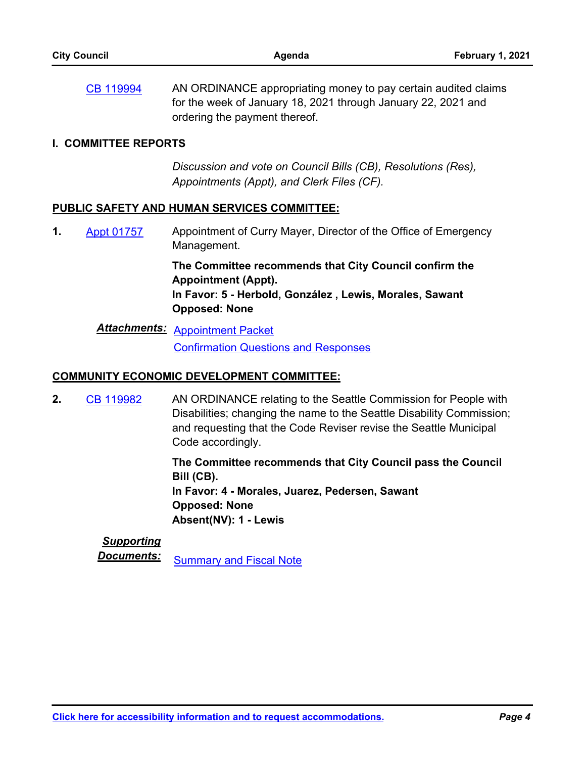AN ORDINANCE appropriating money to pay certain audited claims for the week of January 18, 2021 through January 22, 2021 and ordering the payment thereof. [CB 119994](http://seattle.legistar.com/gateway.aspx?m=l&id=/matter.aspx?key=11334)

#### **I. COMMITTEE REPORTS**

*Discussion and vote on Council Bills (CB), Resolutions (Res), Appointments (Appt), and Clerk Files (CF).*

#### **PUBLIC SAFETY AND HUMAN SERVICES COMMITTEE:**

Appointment of Curry Mayer, Director of the Office of Emergency Management. **1.** [Appt 01757](http://seattle.legistar.com/gateway.aspx?m=l&id=/matter.aspx?key=11266)

> **The Committee recommends that City Council confirm the Appointment (Appt). In Favor: 5 - Herbold, González , Lewis, Morales, Sawant Opposed: None**

*Attachments:* [Appointment Packet](http://seattle.legistar.com/gateway.aspx?M=F&ID=33a820f2-0e7a-48ab-90bd-141642bd1a3e.pdf) [Confirmation Questions and Responses](http://seattle.legistar.com/gateway.aspx?M=F&ID=e3c9e48c-5872-4217-9411-a4a51cfe49c8.pdf)

#### **COMMUNITY ECONOMIC DEVELOPMENT COMMITTEE:**

AN ORDINANCE relating to the Seattle Commission for People with Disabilities; changing the name to the Seattle Disability Commission; and requesting that the Code Reviser revise the Seattle Municipal Code accordingly. **2.** [CB 119982](http://seattle.legistar.com/gateway.aspx?m=l&id=/matter.aspx?key=10592)

> **The Committee recommends that City Council pass the Council Bill (CB). In Favor: 4 - Morales, Juarez, Pedersen, Sawant Opposed: None Absent(NV): 1 - Lewis**

# *Supporting*

**Documents:** [Summary and Fiscal Note](http://seattle.legistar.com/gateway.aspx?M=F&ID=a4348aee-e68d-4e62-9cf2-6a22bede4b03.docx)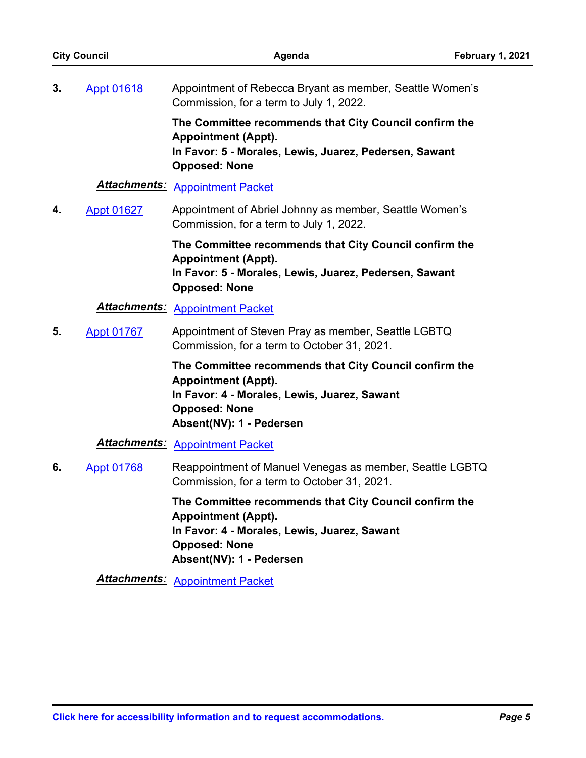| <b>City Council</b> |                   | Agenda                                                                                                                                                                                   | February 1, 2021 |
|---------------------|-------------------|------------------------------------------------------------------------------------------------------------------------------------------------------------------------------------------|------------------|
| 3.                  | <b>Appt 01618</b> | Appointment of Rebecca Bryant as member, Seattle Women's<br>Commission, for a term to July 1, 2022.                                                                                      |                  |
|                     |                   | The Committee recommends that City Council confirm the<br><b>Appointment (Appt).</b><br>In Favor: 5 - Morales, Lewis, Juarez, Pedersen, Sawant<br><b>Opposed: None</b>                   |                  |
|                     |                   | <b>Attachments: Appointment Packet</b>                                                                                                                                                   |                  |
| 4.                  | <b>Appt 01627</b> | Appointment of Abriel Johnny as member, Seattle Women's<br>Commission, for a term to July 1, 2022.                                                                                       |                  |
|                     |                   | The Committee recommends that City Council confirm the<br><b>Appointment (Appt).</b><br>In Favor: 5 - Morales, Lewis, Juarez, Pedersen, Sawant<br><b>Opposed: None</b>                   |                  |
|                     |                   | <b>Attachments: Appointment Packet</b>                                                                                                                                                   |                  |
| 5.                  | <b>Appt 01767</b> | Appointment of Steven Pray as member, Seattle LGBTQ<br>Commission, for a term to October 31, 2021.                                                                                       |                  |
|                     |                   | The Committee recommends that City Council confirm the<br><b>Appointment (Appt).</b><br>In Favor: 4 - Morales, Lewis, Juarez, Sawant<br><b>Opposed: None</b><br>Absent(NV): 1 - Pedersen |                  |
|                     |                   | <b>Attachments: Appointment Packet</b>                                                                                                                                                   |                  |
| 6.                  | <b>Appt 01768</b> | Reappointment of Manuel Venegas as member, Seattle LGBTQ<br>Commission, for a term to October 31, 2021.                                                                                  |                  |
|                     |                   | The Committee recommends that City Council confirm the<br><b>Appointment (Appt).</b><br>In Favor: 4 - Morales, Lewis, Juarez, Sawant<br><b>Opposed: None</b>                             |                  |

**Absent(NV): 1 - Pedersen**

*Attachments:* [Appointment Packet](http://seattle.legistar.com/gateway.aspx?M=F&ID=a25e5eb7-4f01-487a-832d-ca3f2a223412.pdf)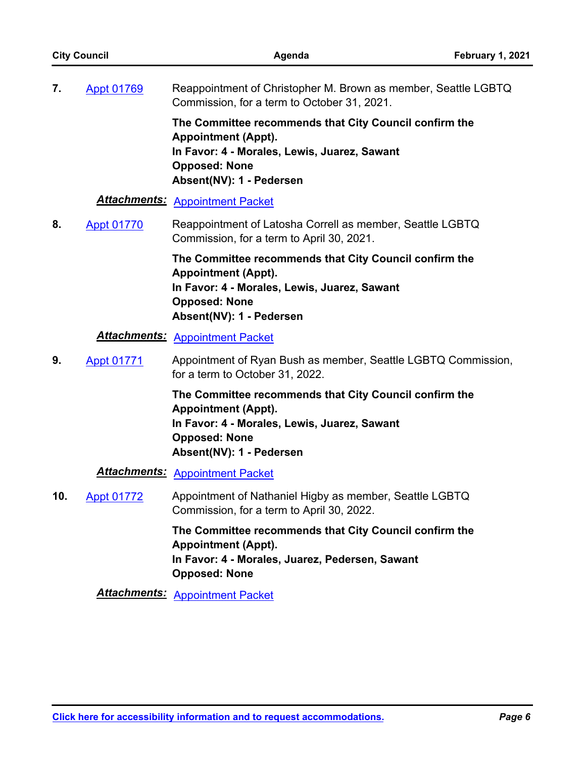| <b>City Council</b> |                   | Agenda                                                                                                                                                                                   | February 1, 2021 |
|---------------------|-------------------|------------------------------------------------------------------------------------------------------------------------------------------------------------------------------------------|------------------|
| 7.                  | <b>Appt 01769</b> | Reappointment of Christopher M. Brown as member, Seattle LGBTQ<br>Commission, for a term to October 31, 2021.                                                                            |                  |
|                     |                   | The Committee recommends that City Council confirm the<br><b>Appointment (Appt).</b><br>In Favor: 4 - Morales, Lewis, Juarez, Sawant<br><b>Opposed: None</b><br>Absent(NV): 1 - Pedersen |                  |
|                     |                   | <b>Attachments: Appointment Packet</b>                                                                                                                                                   |                  |
| 8.                  | <b>Appt 01770</b> | Reappointment of Latosha Correll as member, Seattle LGBTQ<br>Commission, for a term to April 30, 2021.                                                                                   |                  |
|                     |                   | The Committee recommends that City Council confirm the<br><b>Appointment (Appt).</b><br>In Favor: 4 - Morales, Lewis, Juarez, Sawant<br><b>Opposed: None</b><br>Absent(NV): 1 - Pedersen |                  |
|                     |                   | <b>Attachments: Appointment Packet</b>                                                                                                                                                   |                  |
| 9.                  | <b>Appt 01771</b> | Appointment of Ryan Bush as member, Seattle LGBTQ Commission,<br>for a term to October 31, 2022.                                                                                         |                  |
|                     |                   | The Committee recommends that City Council confirm the<br><b>Appointment (Appt).</b><br>In Favor: 4 - Morales, Lewis, Juarez, Sawant<br><b>Opposed: None</b><br>Absent(NV): 1 - Pedersen |                  |
|                     |                   | <b>Attachments: Appointment Packet</b>                                                                                                                                                   |                  |
| 10.                 | <b>Appt 01772</b> | Appointment of Nathaniel Higby as member, Seattle LGBTQ<br>Commission, for a term to April 30, 2022.                                                                                     |                  |
|                     |                   | The Committee recommends that City Council confirm the<br><b>Appointment (Appt).</b><br>In Favor: 4 - Morales, Juarez, Pedersen, Sawant<br><b>Opposed: None</b>                          |                  |
|                     |                   | <b>Attachments: Appointment Packet</b>                                                                                                                                                   |                  |
|                     |                   |                                                                                                                                                                                          |                  |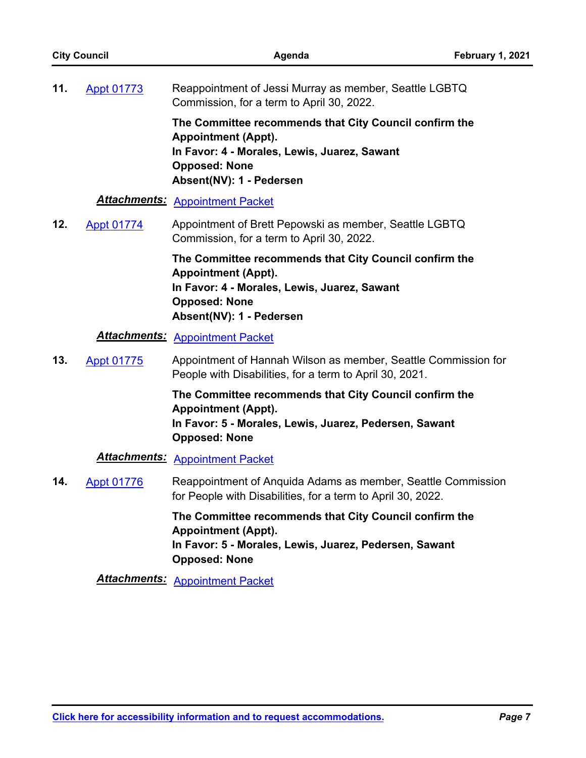|     | <b>City Council</b> | Agenda                                                                                                                                                                                   | February 1, 2021 |
|-----|---------------------|------------------------------------------------------------------------------------------------------------------------------------------------------------------------------------------|------------------|
| 11. | <b>Appt 01773</b>   | Reappointment of Jessi Murray as member, Seattle LGBTQ<br>Commission, for a term to April 30, 2022.                                                                                      |                  |
|     |                     | The Committee recommends that City Council confirm the<br><b>Appointment (Appt).</b><br>In Favor: 4 - Morales, Lewis, Juarez, Sawant<br><b>Opposed: None</b><br>Absent(NV): 1 - Pedersen |                  |
|     |                     | <b>Attachments: Appointment Packet</b>                                                                                                                                                   |                  |
| 12. | <b>Appt 01774</b>   | Appointment of Brett Pepowski as member, Seattle LGBTQ<br>Commission, for a term to April 30, 2022.                                                                                      |                  |
|     |                     | The Committee recommends that City Council confirm the<br><b>Appointment (Appt).</b><br>In Favor: 4 - Morales, Lewis, Juarez, Sawant<br><b>Opposed: None</b><br>Absent(NV): 1 - Pedersen |                  |
|     |                     | <b>Attachments: Appointment Packet</b>                                                                                                                                                   |                  |
| 13. | <b>Appt 01775</b>   | Appointment of Hannah Wilson as member, Seattle Commission for<br>People with Disabilities, for a term to April 30, 2021.                                                                |                  |
|     |                     | The Committee recommends that City Council confirm the<br><b>Appointment (Appt).</b><br>In Favor: 5 - Morales, Lewis, Juarez, Pedersen, Sawant<br><b>Opposed: None</b>                   |                  |
|     |                     | <b>Attachments: Appointment Packet</b>                                                                                                                                                   |                  |
| 14. | <b>Appt 01776</b>   | Reappointment of Anquida Adams as member, Seattle Commission<br>for People with Disabilities, for a term to April 30, 2022.                                                              |                  |
|     |                     | The Committee recommends that City Council confirm the<br><b>Appointment (Appt).</b><br>In Favor: 5 - Morales, Lewis, Juarez, Pedersen, Sawant<br><b>Opposed: None</b>                   |                  |
|     |                     | <b>Attachments: Appointment Packet</b>                                                                                                                                                   |                  |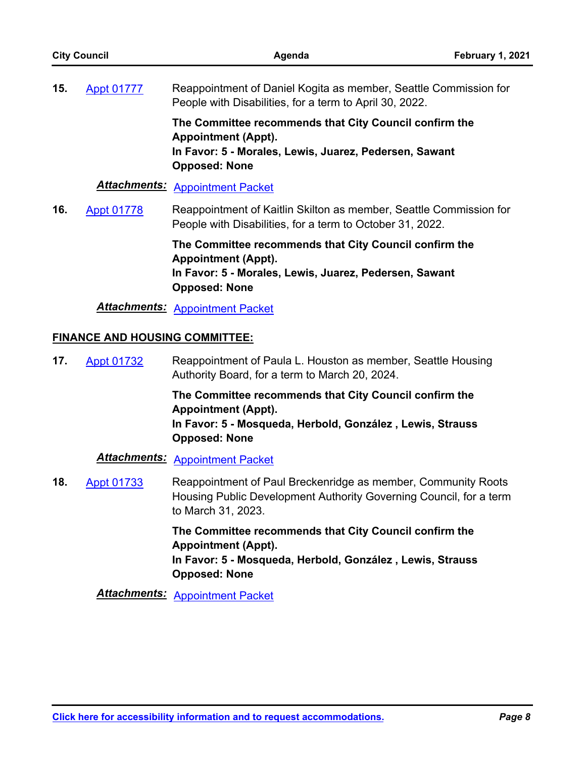| <b>City Council</b> |                                       | Agenda                                                                                                                                                                    | February 1, 2021 |
|---------------------|---------------------------------------|---------------------------------------------------------------------------------------------------------------------------------------------------------------------------|------------------|
| 15.                 | <b>Appt 01777</b>                     | Reappointment of Daniel Kogita as member, Seattle Commission for<br>People with Disabilities, for a term to April 30, 2022.                                               |                  |
|                     |                                       | The Committee recommends that City Council confirm the<br><b>Appointment (Appt).</b><br>In Favor: 5 - Morales, Lewis, Juarez, Pedersen, Sawant<br><b>Opposed: None</b>    |                  |
|                     | <b>Attachments:</b>                   | <b>Appointment Packet</b>                                                                                                                                                 |                  |
| 16.                 | <b>Appt 01778</b>                     | Reappointment of Kaitlin Skilton as member, Seattle Commission for<br>People with Disabilities, for a term to October 31, 2022.                                           |                  |
|                     |                                       | The Committee recommends that City Council confirm the<br><b>Appointment (Appt).</b><br>In Favor: 5 - Morales, Lewis, Juarez, Pedersen, Sawant<br><b>Opposed: None</b>    |                  |
|                     |                                       | <b>Attachments: Appointment Packet</b>                                                                                                                                    |                  |
|                     | <b>FINANCE AND HOUSING COMMITTEE:</b> |                                                                                                                                                                           |                  |
| 17.                 | <b>Appt 01732</b>                     | Reappointment of Paula L. Houston as member, Seattle Housing<br>Authority Board, for a term to March 20, 2024.                                                            |                  |
|                     |                                       | The Committee recommends that City Council confirm the<br><b>Appointment (Appt).</b><br>In Favor: 5 - Mosqueda, Herbold, González, Lewis, Strauss<br><b>Opposed: None</b> |                  |
|                     |                                       | <b>Attachments: Appointment Packet</b>                                                                                                                                    |                  |
| 18.                 | <b>Appt 01733</b>                     | Reappointment of Paul Breckenridge as member, Community Roots<br>Housing Public Development Authority Governing Council, for a term<br>to March 31, 2023.                 |                  |

**The Committee recommends that City Council confirm the Appointment (Appt). In Favor: 5 - Mosqueda, Herbold, González , Lewis, Strauss Opposed: None**

*Attachments:* [Appointment Packet](http://seattle.legistar.com/gateway.aspx?M=F&ID=3a4dd57e-6f0a-4899-bc0c-00de112ed756.pdf)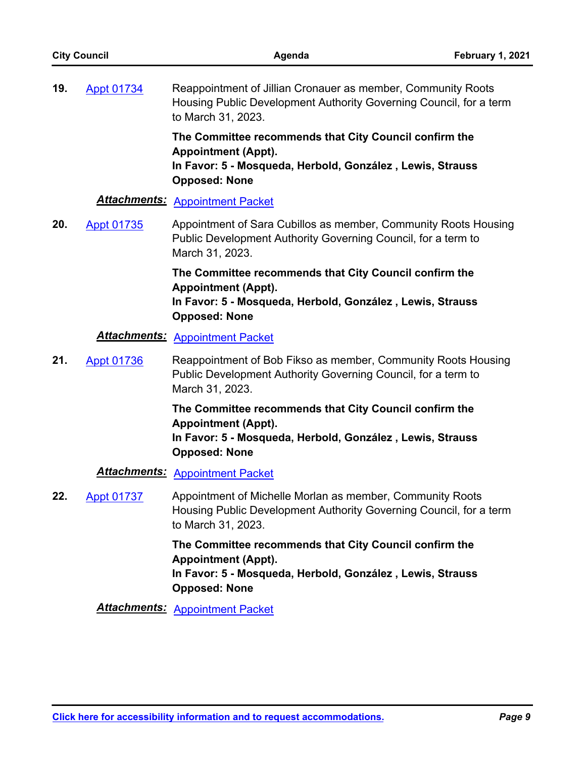| <b>City Council</b> |                     | Agenda                                                                                                                                                                    | February 1, 2021 |
|---------------------|---------------------|---------------------------------------------------------------------------------------------------------------------------------------------------------------------------|------------------|
| 19.                 | <b>Appt 01734</b>   | Reappointment of Jillian Cronauer as member, Community Roots<br>Housing Public Development Authority Governing Council, for a term<br>to March 31, 2023.                  |                  |
|                     |                     | The Committee recommends that City Council confirm the<br><b>Appointment (Appt).</b><br>In Favor: 5 - Mosqueda, Herbold, González, Lewis, Strauss<br><b>Opposed: None</b> |                  |
|                     | <b>Attachments:</b> | <b>Appointment Packet</b>                                                                                                                                                 |                  |
| 20.                 | <b>Appt 01735</b>   | Appointment of Sara Cubillos as member, Community Roots Housing<br>Public Development Authority Governing Council, for a term to<br>March 31, 2023.                       |                  |
|                     |                     | The Committee recommends that City Council confirm the<br><b>Appointment (Appt).</b><br>In Favor: 5 - Mosqueda, Herbold, González, Lewis, Strauss<br><b>Opposed: None</b> |                  |
|                     |                     | <b>Attachments: Appointment Packet</b>                                                                                                                                    |                  |
| 21.                 | <b>Appt 01736</b>   | Reappointment of Bob Fikso as member, Community Roots Housing<br>Public Development Authority Governing Council, for a term to<br>March 31, 2023.                         |                  |
|                     |                     | The Committee recommends that City Council confirm the<br><b>Appointment (Appt).</b><br>In Favor: 5 - Mosqueda, Herbold, González, Lewis, Strauss<br><b>Opposed: None</b> |                  |
|                     |                     | <b>Attachments: Appointment Packet</b>                                                                                                                                    |                  |
| 22.                 | <b>Appt 01737</b>   | Appointment of Michelle Morlan as member, Community Roots<br>Housing Public Development Authority Governing Council, for a term<br>to March 31, 2023.                     |                  |
|                     |                     | The Committee recommends that City Council confirm the<br><b>Appointment (Appt).</b><br>In Favor: 5 - Mosqueda, Herbold, González, Lewis, Strauss<br><b>Opposed: None</b> |                  |
|                     |                     | <b>Attachments: Appointment Packet</b>                                                                                                                                    |                  |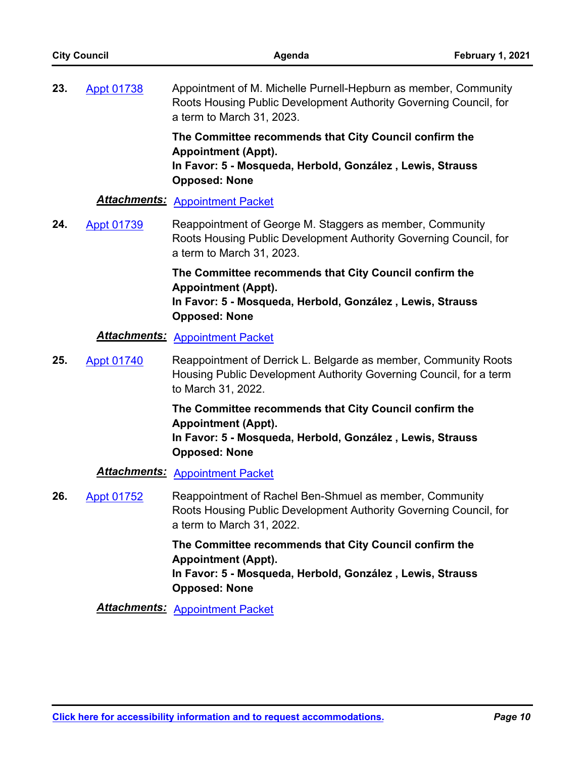| <b>City Council</b> |                   | Agenda                                                                                                                                                                    | February 1, 2021 |
|---------------------|-------------------|---------------------------------------------------------------------------------------------------------------------------------------------------------------------------|------------------|
| 23.                 | <b>Appt 01738</b> | Appointment of M. Michelle Purnell-Hepburn as member, Community<br>Roots Housing Public Development Authority Governing Council, for<br>a term to March 31, 2023.         |                  |
|                     |                   | The Committee recommends that City Council confirm the<br><b>Appointment (Appt).</b><br>In Favor: 5 - Mosqueda, Herbold, González, Lewis, Strauss<br><b>Opposed: None</b> |                  |
|                     |                   | <b>Attachments: Appointment Packet</b>                                                                                                                                    |                  |
| 24.                 | <b>Appt 01739</b> | Reappointment of George M. Staggers as member, Community<br>Roots Housing Public Development Authority Governing Council, for<br>a term to March 31, 2023.                |                  |
|                     |                   | The Committee recommends that City Council confirm the<br><b>Appointment (Appt).</b><br>In Favor: 5 - Mosqueda, Herbold, González, Lewis, Strauss<br><b>Opposed: None</b> |                  |
|                     |                   | <b>Attachments: Appointment Packet</b>                                                                                                                                    |                  |
| 25.                 | <b>Appt 01740</b> | Reappointment of Derrick L. Belgarde as member, Community Roots<br>Housing Public Development Authority Governing Council, for a term<br>to March 31, 2022.               |                  |
|                     |                   | The Committee recommends that City Council confirm the<br><b>Appointment (Appt).</b><br>In Favor: 5 - Mosqueda, Herbold, González, Lewis, Strauss<br><b>Opposed: None</b> |                  |
|                     |                   | <b>Attachments: Appointment Packet</b>                                                                                                                                    |                  |
| 26.                 | <b>Appt 01752</b> | Reappointment of Rachel Ben-Shmuel as member, Community<br>Roots Housing Public Development Authority Governing Council, for<br>a term to March 31, 2022.                 |                  |
|                     |                   | The Committee recommends that City Council confirm the<br><b>Appointment (Appt).</b><br>In Favor: 5 - Mosqueda, Herbold, González, Lewis, Strauss<br><b>Opposed: None</b> |                  |
|                     |                   | <b>Attachments: Appointment Packet</b>                                                                                                                                    |                  |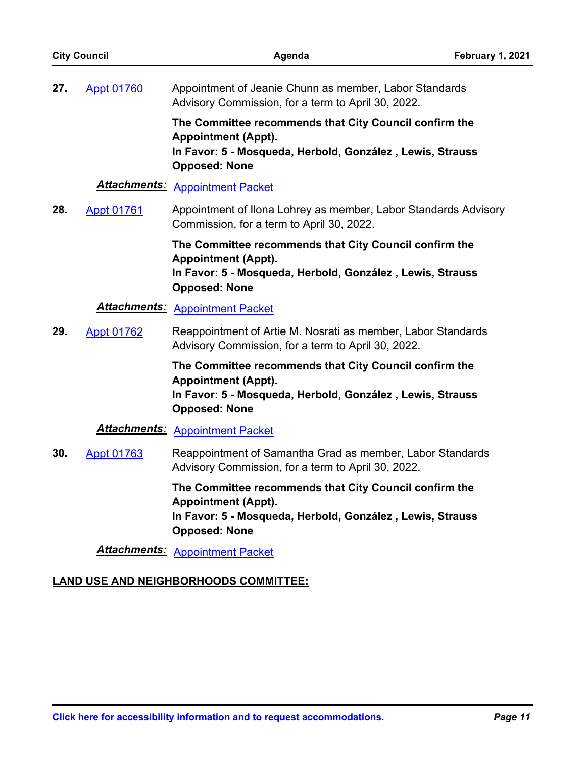| <b>City Council</b> |                   | Agenda                                                                                                                                                                    | February 1, 2021 |
|---------------------|-------------------|---------------------------------------------------------------------------------------------------------------------------------------------------------------------------|------------------|
| 27.                 | <b>Appt 01760</b> | Appointment of Jeanie Chunn as member, Labor Standards<br>Advisory Commission, for a term to April 30, 2022.                                                              |                  |
|                     |                   | The Committee recommends that City Council confirm the<br><b>Appointment (Appt).</b><br>In Favor: 5 - Mosqueda, Herbold, González, Lewis, Strauss<br><b>Opposed: None</b> |                  |
|                     |                   | <b>Attachments: Appointment Packet</b>                                                                                                                                    |                  |
| 28.                 | <b>Appt 01761</b> | Appointment of Ilona Lohrey as member, Labor Standards Advisory<br>Commission, for a term to April 30, 2022.                                                              |                  |
|                     |                   | The Committee recommends that City Council confirm the<br><b>Appointment (Appt).</b><br>In Favor: 5 - Mosqueda, Herbold, González, Lewis, Strauss<br><b>Opposed: None</b> |                  |
|                     |                   | <b>Attachments: Appointment Packet</b>                                                                                                                                    |                  |
| 29.                 | <b>Appt 01762</b> | Reappointment of Artie M. Nosrati as member, Labor Standards<br>Advisory Commission, for a term to April 30, 2022.                                                        |                  |
|                     |                   | The Committee recommends that City Council confirm the<br><b>Appointment (Appt).</b><br>In Favor: 5 - Mosqueda, Herbold, González, Lewis, Strauss<br><b>Opposed: None</b> |                  |
|                     |                   | <b>Attachments: Appointment Packet</b>                                                                                                                                    |                  |
| 30.                 | <b>Appt 01763</b> | Reappointment of Samantha Grad as member, Labor Standards<br>Advisory Commission, for a term to April 30, 2022.                                                           |                  |
|                     |                   | The Committee recommends that City Council confirm the<br><b>Appointment (Appt).</b><br>In Favor: 5 - Mosqueda, Herbold, González, Lewis, Strauss<br><b>Opposed: None</b> |                  |
|                     |                   | <b>Attachments: Appointment Packet</b>                                                                                                                                    |                  |

# **LAND USE AND NEIGHBORHOODS COMMITTEE:**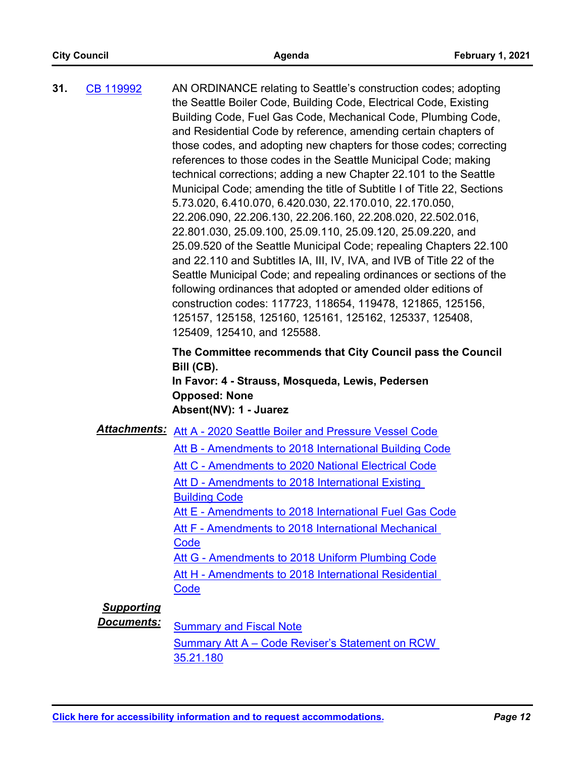AN ORDINANCE relating to Seattle's construction codes; adopting the Seattle Boiler Code, Building Code, Electrical Code, Existing Building Code, Fuel Gas Code, Mechanical Code, Plumbing Code, and Residential Code by reference, amending certain chapters of those codes, and adopting new chapters for those codes; correcting references to those codes in the Seattle Municipal Code; making technical corrections; adding a new Chapter 22.101 to the Seattle Municipal Code; amending the title of Subtitle I of Title 22, Sections 5.73.020, 6.410.070, 6.420.030, 22.170.010, 22.170.050, 22.206.090, 22.206.130, 22.206.160, 22.208.020, 22.502.016, 22.801.030, 25.09.100, 25.09.110, 25.09.120, 25.09.220, and 25.09.520 of the Seattle Municipal Code; repealing Chapters 22.100 and 22.110 and Subtitles IA, III, IV, IVA, and IVB of Title 22 of the Seattle Municipal Code; and repealing ordinances or sections of the following ordinances that adopted or amended older editions of construction codes: 117723, 118654, 119478, 121865, 125156, 125157, 125158, 125160, 125161, 125162, 125337, 125408, 125409, 125410, and 125588. **31.** [CB 119992](http://seattle.legistar.com/gateway.aspx?m=l&id=/matter.aspx?key=11277)

> **The Committee recommends that City Council pass the Council Bill (CB).**

**In Favor: 4 - Strauss, Mosqueda, Lewis, Pedersen Opposed: None Absent(NV): 1 - Juarez**

#### *Attachments:* [Att A - 2020 Seattle Boiler and Pressure Vessel Code](http://seattle.legistar.com/gateway.aspx?M=F&ID=de6a77e9-4dea-45f6-a0b8-9fcd793275cc.docx)

- [Att B Amendments to 2018 International Building Code](http://seattle.legistar.com/gateway.aspx?M=F&ID=c9dc9305-a06d-43eb-be4e-489c22192e7d.pdf)
- [Att C Amendments to 2020 National Electrical Code](http://seattle.legistar.com/gateway.aspx?M=F&ID=76a137a9-6e8d-49e2-9f5b-099124dc3460.pdf)
- Att D Amendments to 2018 International Existing Building Code
- [Att E Amendments to 2018 International Fuel Gas Code](http://seattle.legistar.com/gateway.aspx?M=F&ID=dfebd50b-0693-4d88-9462-17ea9baf7438.pdf)

[Att F - Amendments to 2018 International Mechanical](http://seattle.legistar.com/gateway.aspx?M=F&ID=80a25d78-7f5e-40a8-848b-ddb1dcda6c96.pdf)  **Code** 

[Att G - Amendments to 2018 Uniform Plumbing Code](http://seattle.legistar.com/gateway.aspx?M=F&ID=636ac0b9-81e7-4a9d-be29-ab6f8093fbe4.docx)

[Att H - Amendments to 2018 International Residential](http://seattle.legistar.com/gateway.aspx?M=F&ID=a6ba5481-317d-45bd-b695-fd51500b4feb.pdf)  **Code** 

# *Supporting*

**Documents:** [Summary and Fiscal Note](http://seattle.legistar.com/gateway.aspx?M=F&ID=dd6c2082-e6fe-458e-bebe-b460adac606e.docx) [Summary Att A – Code Reviser's Statement on RCW](http://seattle.legistar.com/gateway.aspx?M=F&ID=403b448c-de45-480b-b579-dd2e39d78198.docx)  35.21.180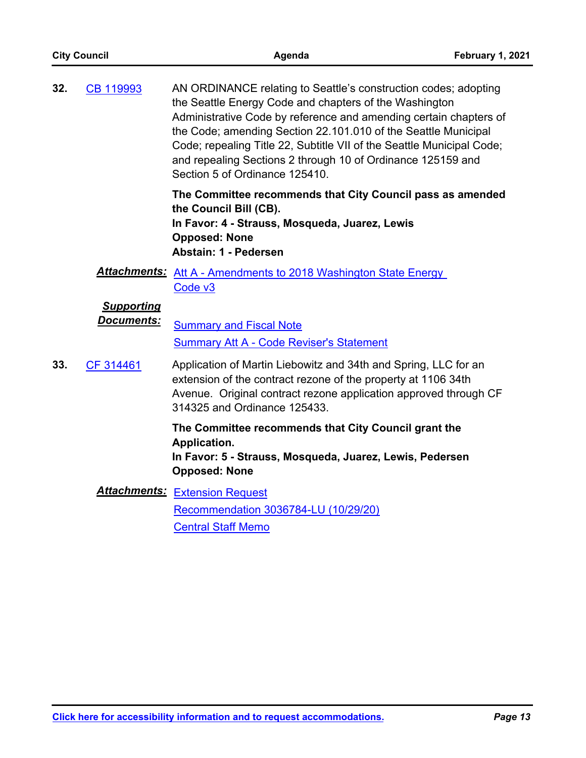|                                 | Agenda                                                                                                                    | February 1, 2021                                                                                                                                                                                                                                                                                                                                                                                                                                                                                                                                                                                                                                                                                                                                                                                                                                                                                                      |
|---------------------------------|---------------------------------------------------------------------------------------------------------------------------|-----------------------------------------------------------------------------------------------------------------------------------------------------------------------------------------------------------------------------------------------------------------------------------------------------------------------------------------------------------------------------------------------------------------------------------------------------------------------------------------------------------------------------------------------------------------------------------------------------------------------------------------------------------------------------------------------------------------------------------------------------------------------------------------------------------------------------------------------------------------------------------------------------------------------|
| CB 119993                       | Section 5 of Ordinance 125410.                                                                                            |                                                                                                                                                                                                                                                                                                                                                                                                                                                                                                                                                                                                                                                                                                                                                                                                                                                                                                                       |
|                                 | the Council Bill (CB).<br>In Favor: 4 - Strauss, Mosqueda, Juarez, Lewis<br><b>Opposed: None</b><br>Abstain: 1 - Pedersen |                                                                                                                                                                                                                                                                                                                                                                                                                                                                                                                                                                                                                                                                                                                                                                                                                                                                                                                       |
|                                 | Code v3                                                                                                                   |                                                                                                                                                                                                                                                                                                                                                                                                                                                                                                                                                                                                                                                                                                                                                                                                                                                                                                                       |
| <b>Supporting</b><br>Documents: | <b>Summary and Fiscal Note</b><br><b>Summary Att A - Code Reviser's Statement</b>                                         |                                                                                                                                                                                                                                                                                                                                                                                                                                                                                                                                                                                                                                                                                                                                                                                                                                                                                                                       |
| CF 314461                       | 314325 and Ordinance 125433.                                                                                              |                                                                                                                                                                                                                                                                                                                                                                                                                                                                                                                                                                                                                                                                                                                                                                                                                                                                                                                       |
|                                 | Application.<br><b>Opposed: None</b>                                                                                      |                                                                                                                                                                                                                                                                                                                                                                                                                                                                                                                                                                                                                                                                                                                                                                                                                                                                                                                       |
|                                 | Recommendation 3036784-LU (10/29/20)<br><b>Central Staff Memo</b>                                                         |                                                                                                                                                                                                                                                                                                                                                                                                                                                                                                                                                                                                                                                                                                                                                                                                                                                                                                                       |
|                                 | <b>City Council</b>                                                                                                       | AN ORDINANCE relating to Seattle's construction codes; adopting<br>the Seattle Energy Code and chapters of the Washington<br>Administrative Code by reference and amending certain chapters of<br>the Code; amending Section 22.101.010 of the Seattle Municipal<br>Code; repealing Title 22, Subtitle VII of the Seattle Municipal Code;<br>and repealing Sections 2 through 10 of Ordinance 125159 and<br>The Committee recommends that City Council pass as amended<br><b>Attachments:</b> Att A - Amendments to 2018 Washington State Energy<br>Application of Martin Liebowitz and 34th and Spring, LLC for an<br>extension of the contract rezone of the property at 1106 34th<br>Avenue. Original contract rezone application approved through CF<br>The Committee recommends that City Council grant the<br>In Favor: 5 - Strauss, Mosqueda, Juarez, Lewis, Pedersen<br><b>Attachments: Extension Request</b> |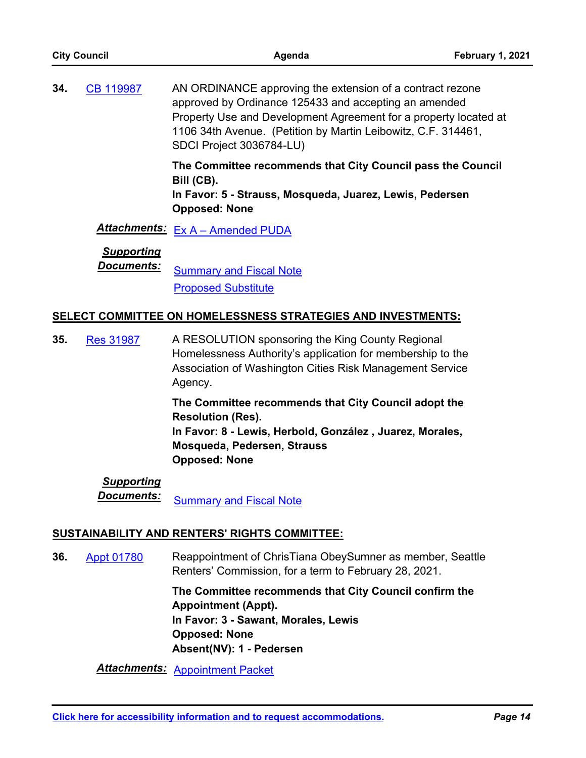| <b>City Council</b> |                                        | Agenda                                                                                                                                                                                                                                                                              | February 1, 2021 |
|---------------------|----------------------------------------|-------------------------------------------------------------------------------------------------------------------------------------------------------------------------------------------------------------------------------------------------------------------------------------|------------------|
| 34.                 | CB 119987                              | AN ORDINANCE approving the extension of a contract rezone<br>approved by Ordinance 125433 and accepting an amended<br>Property Use and Development Agreement for a property located at<br>1106 34th Avenue. (Petition by Martin Leibowitz, C.F. 314461,<br>SDCI Project 3036784-LU) |                  |
|                     |                                        | The Committee recommends that City Council pass the Council<br>Bill (CB).<br>In Favor: 5 - Strauss, Mosqueda, Juarez, Lewis, Pedersen<br><b>Opposed: None</b>                                                                                                                       |                  |
|                     |                                        | Attachments: Ex A - Amended PUDA                                                                                                                                                                                                                                                    |                  |
|                     | <b>Supporting</b><br><b>Documents:</b> | <b>Summary and Fiscal Note</b><br><b>Proposed Substitute</b>                                                                                                                                                                                                                        |                  |
|                     |                                        | <b>SELECT COMMITTEE ON HOMELESSNESS STRATEGIES AND INVESTMENTS:</b>                                                                                                                                                                                                                 |                  |
| 35.                 | <b>Res 31987</b>                       | A RESOLUTION sponsoring the King County Regional<br>Homelessness Authority's application for membership to the<br>Association of Washington Cities Risk Management Service<br>Agency.                                                                                               |                  |
|                     |                                        | The Committee recommends that City Council adopt the<br><b>Resolution (Res).</b><br>uran O Lauda Harkald Can-ála- Luana-Marala                                                                                                                                                      |                  |

**In Favor: 8 - Lewis, Herbold, González , Juarez, Morales, Mosqueda, Pedersen, Strauss Opposed: None**

# *Supporting*

**Documents:** [Summary and Fiscal Note](http://seattle.legistar.com/gateway.aspx?M=F&ID=fd2858cf-3f68-4dee-972d-4c975b0b2d97.docx)

# **SUSTAINABILITY AND RENTERS' RIGHTS COMMITTEE:**

Reappointment of ChrisTiana ObeySumner as member, Seattle Renters' Commission, for a term to February 28, 2021. **36.** [Appt 01780](http://seattle.legistar.com/gateway.aspx?m=l&id=/matter.aspx?key=9855)

> **The Committee recommends that City Council confirm the Appointment (Appt). In Favor: 3 - Sawant, Morales, Lewis Opposed: None Absent(NV): 1 - Pedersen**

*Attachments:* [Appointment Packet](http://seattle.legistar.com/gateway.aspx?M=F&ID=dd663ebc-8b93-4681-9d72-be74a9a8ba16.pdf)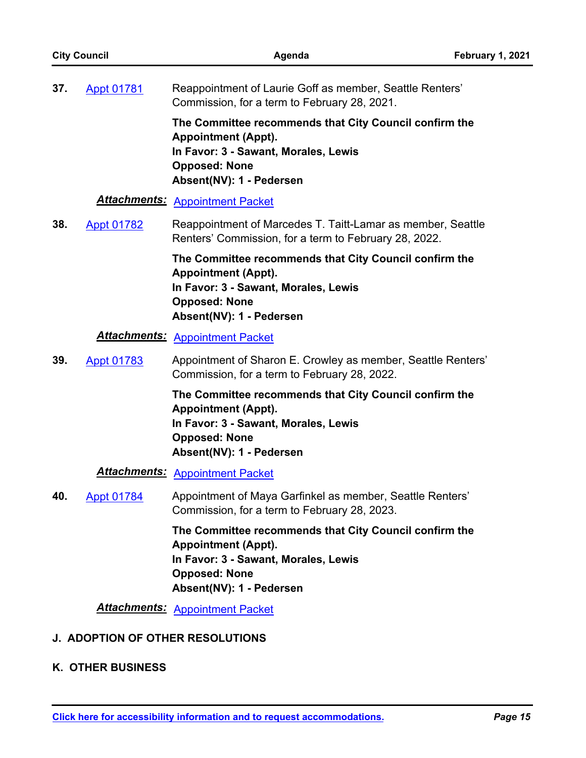| <b>City Council</b> |                          | Agenda                                                                                                                                                                           | February 1, 2021 |
|---------------------|--------------------------|----------------------------------------------------------------------------------------------------------------------------------------------------------------------------------|------------------|
| 37.                 | <b>Appt 01781</b>        | Reappointment of Laurie Goff as member, Seattle Renters'<br>Commission, for a term to February 28, 2021.                                                                         |                  |
|                     |                          | The Committee recommends that City Council confirm the<br><b>Appointment (Appt).</b><br>In Favor: 3 - Sawant, Morales, Lewis<br><b>Opposed: None</b><br>Absent(NV): 1 - Pedersen |                  |
|                     |                          | <b>Attachments: Appointment Packet</b>                                                                                                                                           |                  |
| 38.                 | <b>Appt 01782</b>        | Reappointment of Marcedes T. Taitt-Lamar as member, Seattle<br>Renters' Commission, for a term to February 28, 2022.                                                             |                  |
|                     |                          | The Committee recommends that City Council confirm the<br><b>Appointment (Appt).</b><br>In Favor: 3 - Sawant, Morales, Lewis<br><b>Opposed: None</b><br>Absent(NV): 1 - Pedersen |                  |
|                     |                          | <b>Attachments: Appointment Packet</b>                                                                                                                                           |                  |
| 39.                 | <b>Appt 01783</b>        | Appointment of Sharon E. Crowley as member, Seattle Renters'<br>Commission, for a term to February 28, 2022.                                                                     |                  |
|                     |                          | The Committee recommends that City Council confirm the<br><b>Appointment (Appt).</b><br>In Favor: 3 - Sawant, Morales, Lewis<br><b>Opposed: None</b><br>Absent(NV): 1 - Pedersen |                  |
|                     |                          | <b>Attachments: Appointment Packet</b>                                                                                                                                           |                  |
| 40.                 | <b>Appt 01784</b>        | Appointment of Maya Garfinkel as member, Seattle Renters'<br>Commission, for a term to February 28, 2023.                                                                        |                  |
|                     |                          | The Committee recommends that City Council confirm the<br><b>Appointment (Appt).</b><br>In Favor: 3 - Sawant, Morales, Lewis<br><b>Opposed: None</b><br>Absent(NV): 1 - Pedersen |                  |
|                     |                          | <b>Attachments: Appointment Packet</b>                                                                                                                                           |                  |
|                     |                          | <b>J. ADOPTION OF OTHER RESOLUTIONS</b>                                                                                                                                          |                  |
|                     | <b>K. OTHER BUSINESS</b> |                                                                                                                                                                                  |                  |